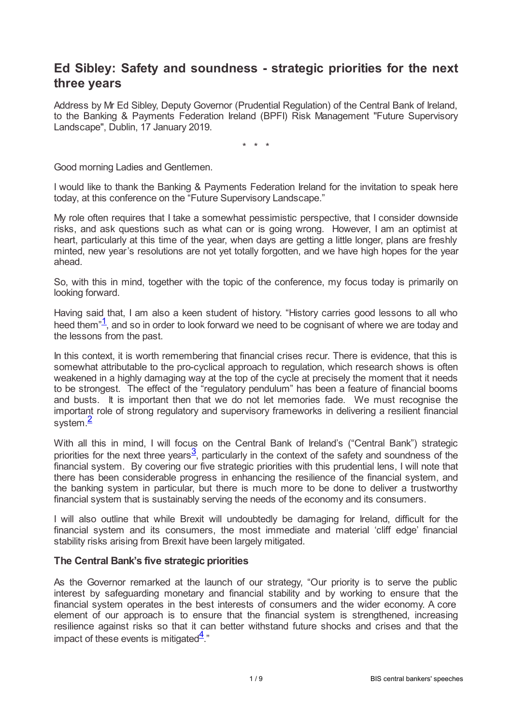# **Ed Sibley: Safety and soundness - strategic priorities for the next three years**

Address by Mr Ed Sibley, Deputy Governor (Prudential Regulation) of the Central Bank of Ireland, to the Banking & Payments Federation Ireland (BPFI) Risk Management "Future Supervisory Landscape", Dublin, 17 January 2019.

\* \* \*

Good morning Ladies and Gentlemen.

I would like to thank the Banking & Payments Federation Ireland for the invitation to speak here today, at this conference on the "Future Supervisory Landscape."

My role often requires that I take a somewhat pessimistic perspective, that I consider downside risks, and ask questions such as what can or is going wrong. However, I am an optimist at heart, particularly at this time of the year, when days are getting a little longer, plans are freshly minted, new year's resolutions are not yet totally forgotten, and we have high hopes for the year ahead.

So, with this in mind, together with the topic of the conference, my focus today is primarily on looking forward.

<span id="page-0-0"></span>Having said that, I am also a keen student of history. "History carries good lessons to all who heed them $1/2$  $1/2$ , and so in order to look forward we need to be cognisant of where we are today and the lessons from the past.

In this context, it is worth remembering that financial crises recur. There is evidence, that this is somewhat attributable to the pro-cyclical approach to regulation, which research shows is often weakened in a highly damaging way at the top of the cycle at precisely the moment that it needs to be strongest. The effect of the "regulatory pendulum" has been a feature of financial booms and busts. It is important then that we do not let memories fade. We must recognise the important role of strong regulatory and supervisory frameworks in delivering a resilient financial system. [2](#page-7-1)

<span id="page-0-2"></span><span id="page-0-1"></span>With all this in mind, I will focus on the Central Bank of Ireland's ("Central Bank") strategic priorities for the next three years<sup>[3](#page-7-2)</sup>, particularly in the context of the safety and soundness of the financial system. By covering our five strategic priorities with this prudential lens, I will note that there has been considerable progress in enhancing the resilience of the financial system, and the banking system in particular, but there is much more to be done to deliver a trustworthy financial system that is sustainably serving the needs of the economy and its consumers.

I will also outline that while Brexit will undoubtedly be damaging for Ireland, difficult for the financial system and its consumers, the most immediate and material 'cliff edge' financial stability risks arising from Brexit have been largely mitigated.

## **The Central Bank's five strategic priorities**

<span id="page-0-3"></span>As the Governor remarked at the launch of our strategy, "Our priority is to serve the public interest by safeguarding monetary and financial stability and by working to ensure that the financial system operates in the best interests of consumers and the wider economy. A core element of our approach is to ensure that the financial system is strengthened, increasing resilience against risks so that it can better withstand future shocks and crises and that the impact of these events is mitigated $\frac{4}{3}$  $\frac{4}{3}$  $\frac{4}{3}$ ."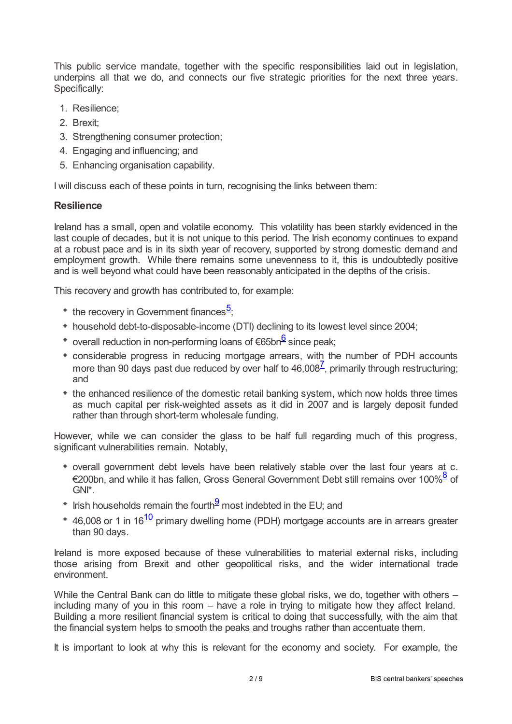This public service mandate, together with the specific responsibilities laid out in legislation, underpins all that we do, and connects our five strategic priorities for the next three years. Specifically:

- 1. Resilience;
- 2. Brexit;
- 3. Strengthening consumer protection;
- 4. Engaging and influencing; and
- 5. Enhancing organisation capability.

I will discuss each of these points in turn, recognising the links between them:

## **Resilience**

Ireland has a small, open and volatile economy. This volatility has been starkly evidenced in the last couple of decades, but it is not unique to this period. The Irish economy continues to expand at a robust pace and is in its sixth year of recovery, supported by strong domestic demand and employment growth. While there remains some unevenness to it, this is undoubtedly positive and is well beyond what could have been reasonably anticipated in the depths of the crisis.

This recovery and growth has contributed to, for example:

- <span id="page-1-0"></span>the recovery in Government finances<sup>[5](#page-7-4)</sup>;
- household debt-to-disposable-income (DTI) declining to its lowest level since 2004;
- <span id="page-1-1"></span>overall reduction in non-performing loans of €[6](#page-7-5)5bn<sup>6</sup> since peak;
- <span id="page-1-2"></span>considerable progress in reducing mortgage arrears, with the number of PDH accounts more than 90 days past due reduced by over half to  $46,008^{\frac{7}{2}}$  $46,008^{\frac{7}{2}}$  $46,008^{\frac{7}{2}}$ , primarily through restructuring; and
- the enhanced resilience of the domestic retail banking system, which now holds three times as much capital per risk-weighted assets as it did in 2007 and is largely deposit funded rather than through short-term wholesale funding.

However, while we can consider the glass to be half full regarding much of this progress, significant vulnerabilities remain. Notably,

- <span id="page-1-3"></span>overall government debt levels have been relatively stable over the last four years at c. €200bn, and while it has fallen, Gross General Government Debt still remains over 100%<sup>[8](#page-8-1)</sup> of GNI\*.
- <span id="page-1-4"></span>Irish households remain the fourth $\frac{9}{2}$  $\frac{9}{2}$  $\frac{9}{2}$  most indebted in the EU; and
- <span id="page-1-5"></span>46,008 or 1 in 16<sup><u>[10](#page-8-3)</u></sup> primary dwelling home (PDH) mortgage accounts are in arrears greater than 90 days.

Ireland is more exposed because of these vulnerabilities to material external risks, including those arising from Brexit and other geopolitical risks, and the wider international trade environment.

While the Central Bank can do little to mitigate these global risks, we do, together with others including many of you in this room – have a role in trying to mitigate how they affect Ireland. Building a more resilient financial system is critical to doing that successfully, with the aim that the financial system helps to smooth the peaks and troughs rather than accentuate them.

It is important to look at why this is relevant for the economy and society. For example, the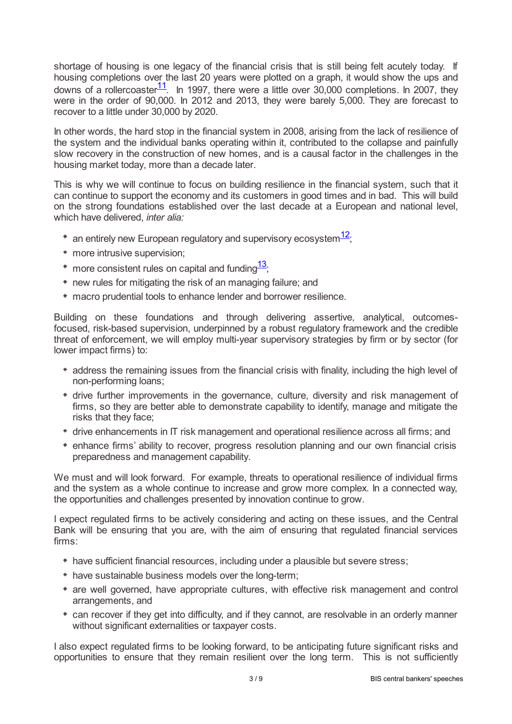<span id="page-2-0"></span>shortage of housing is one legacy of the financial crisis that is still being felt acutely today. If housing completions over the last 20 years were plotted on a graph, it would show the ups and downs of a rollercoaster $\frac{11}{1}$  $\frac{11}{1}$  $\frac{11}{1}$ . In 1997, there were a little over 30,000 completions. In 2007, they were in the order of 90,000. In 2012 and 2013, they were barely 5,000. They are forecast to recover to a little under 30,000 by 2020.

In other words, the hard stop in the financial system in 2008, arising from the lack of resilience of the system and the individual banks operating within it, contributed to the collapse and painfully slow recovery in the construction of new homes, and is a causal factor in the challenges in the housing market today, more than a decade later.

This is why we will continue to focus on building resilience in the financial system, such that it can continue to support the economy and its customers in good times and in bad. This will build on the strong foundations established over the last decade at a European and national level, which have delivered, *inter alia:*

- <span id="page-2-1"></span>an entirely new European regulatory and supervisory ecosystem $^{\textcolor{red}{\textbf{12}}};$  $^{\textcolor{red}{\textbf{12}}};$  $^{\textcolor{red}{\textbf{12}}};$
- more intrusive supervision;
- <span id="page-2-2"></span>more consistent rules on capital and funding $^{\overline{13};}$  $^{\overline{13};}$  $^{\overline{13};}$
- new rules for mitigating the risk of an managing failure; and
- macro prudential tools to enhance lender and borrower resilience.

Building on these foundations and through delivering assertive, analytical, outcomesfocused, risk-based supervision, underpinned by a robust regulatory framework and the credible threat of enforcement, we will employ multi-year supervisory strategies by firm or by sector (for lower impact firms) to:

- address the remaining issues from the financial crisis with finality, including the high level of non-performing loans;
- drive further improvements in the governance, culture, diversity and risk management of firms, so they are better able to demonstrate capability to identify, manage and mitigate the risks that they face;
- drive enhancements in IT risk management and operational resilience across all firms; and
- enhance firms' ability to recover, progress resolution planning and our own financial crisis preparedness and management capability.

We must and will look forward. For example, threats to operational resilience of individual firms and the system as a whole continue to increase and grow more complex. In a connected way, the opportunities and challenges presented by innovation continue to grow.

I expect regulated firms to be actively considering and acting on these issues, and the Central Bank will be ensuring that you are, with the aim of ensuring that regulated financial services firms:

- have sufficient financial resources, including under a plausible but severe stress;
- have sustainable business models over the long-term;
- are well governed, have appropriate cultures, with effective risk management and control arrangements, and
- can recover if they get into difficulty, and if they cannot, are resolvable in an orderly manner without significant externalities or taxpayer costs.

I also expect regulated firms to be looking forward, to be anticipating future significant risks and opportunities to ensure that they remain resilient over the long term. This is not sufficiently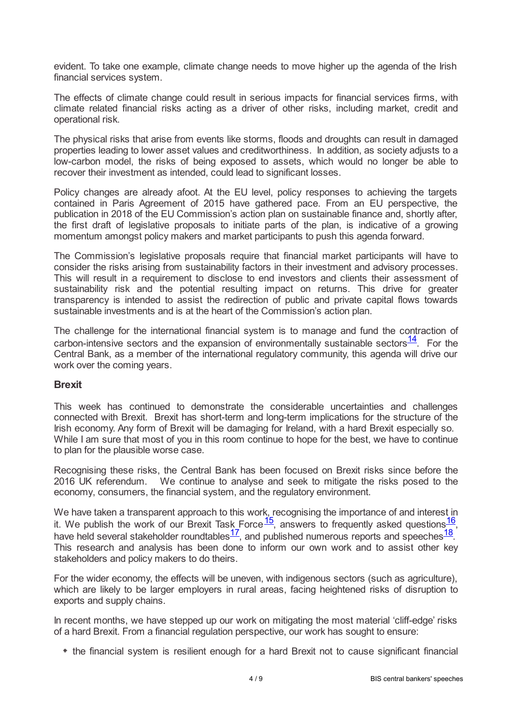evident. To take one example, climate change needs to move higher up the agenda of the Irish financial services system.

The effects of climate change could result in serious impacts for financial services firms, with climate related financial risks acting as a driver of other risks, including market, credit and operational risk.

The physical risks that arise from events like storms, floods and droughts can result in damaged properties leading to lower asset values and creditworthiness. In addition, as society adjusts to a low-carbon model, the risks of being exposed to assets, which would no longer be able to recover their investment as intended, could lead to significant losses.

Policy changes are already afoot. At the EU level, policy responses to achieving the targets contained in Paris Agreement of 2015 have gathered pace. From an EU perspective, the publication in 2018 of the EU Commission's action plan on sustainable finance and, shortly after, the first draft of legislative proposals to initiate parts of the plan, is indicative of a growing momentum amongst policy makers and market participants to push this agenda forward.

The Commission's legislative proposals require that financial market participants will have to consider the risks arising from sustainability factors in their investment and advisory processes. This will result in a requirement to disclose to end investors and clients their assessment of sustainability risk and the potential resulting impact on returns. This drive for greater transparency is intended to assist the redirection of public and private capital flows towards sustainable investments and is at the heart of the Commission's action plan.

<span id="page-3-0"></span>The challenge for the international financial system is to manage and fund the contraction of carbon-intensive sectors and the expansion of environmentally sustainable sectors $\frac{14}{1}$  $\frac{14}{1}$  $\frac{14}{1}$ . For the Central Bank, as a member of the international regulatory community, this agenda will drive our work over the coming years.

## **Brexit**

This week has continued to demonstrate the considerable uncertainties and challenges connected with Brexit. Brexit has short-term and long-term implications for the structure of the Irish economy. Any form of Brexit will be damaging for Ireland, with a hard Brexit especially so. While I am sure that most of you in this room continue to hope for the best, we have to continue to plan for the plausible worse case.

Recognising these risks, the Central Bank has been focused on Brexit risks since before the 2016 UK referendum. We continue to analyse and seek to mitigate the risks posed to the economy, consumers, the financial system, and the regulatory environment.

<span id="page-3-4"></span><span id="page-3-3"></span><span id="page-3-2"></span><span id="page-3-1"></span>We have taken a transparent approach to this work, recognising the importance of and interest in it. We publish the work of our Brexit Task Force  $\frac{15}{7}$  $\frac{15}{7}$  $\frac{15}{7}$ , answers to frequently asked questions  $\frac{16}{7}$  $\frac{16}{7}$  $\frac{16}{7}$ , have held several stakeholder roundtables  $\frac{17}{1}$  $\frac{17}{1}$  $\frac{17}{1}$ , and published numerous reports and speeches  $\frac{18}{1}$  $\frac{18}{1}$  $\frac{18}{1}$ . This research and analysis has been done to inform our own work and to assist other key stakeholders and policy makers to do theirs.

For the wider economy, the effects will be uneven, with indigenous sectors (such as agriculture), which are likely to be larger employers in rural areas, facing heightened risks of disruption to exports and supply chains.

In recent months, we have stepped up our work on mitigating the most material 'cliff-edge' risks of a hard Brexit. From a financial regulation perspective, our work has sought to ensure:

the financial system is resilient enough for a hard Brexit not to cause significant financial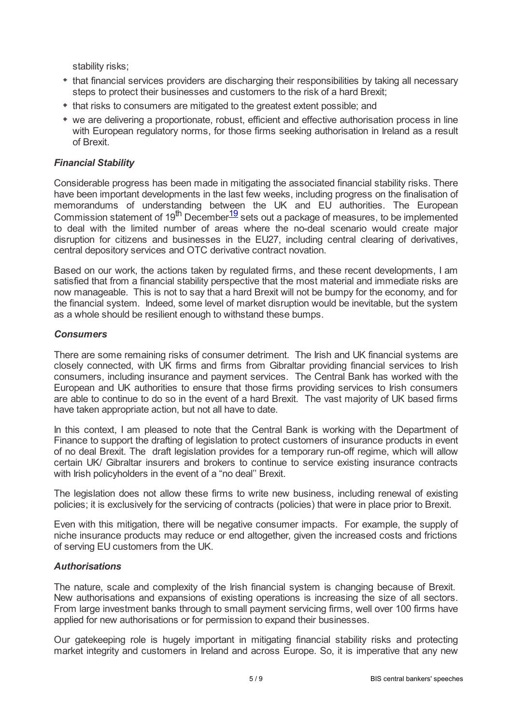stability risks;

- that financial services providers are discharging their responsibilities by taking all necessary steps to protect their businesses and customers to the risk of a hard Brexit;
- that risks to consumers are mitigated to the greatest extent possible; and
- we are delivering a proportionate, robust, efficient and effective authorisation process in line with European regulatory norms, for those firms seeking authorisation in Ireland as a result of Brexit.

## *Financial Stability*

<span id="page-4-0"></span>Considerable progress has been made in mitigating the associated financial stability risks. There have been important developments in the last few weeks, including progress on the finalisation of memorandums of understanding between the UK and EU authorities. The European Commission statement of [19](#page-8-12)<sup>th</sup> December<sup>19</sup> sets out a package of measures, to be implemented to deal with the limited number of areas where the no-deal scenario would create major disruption for citizens and businesses in the EU27, including central clearing of derivatives, central depository services and OTC derivative contract novation.

Based on our work, the actions taken by regulated firms, and these recent developments, I am satisfied that from a financial stability perspective that the most material and immediate risks are now manageable. This is not to say that a hard Brexit will not be bumpy for the economy, and for the financial system. Indeed, some level of market disruption would be inevitable, but the system as a whole should be resilient enough to withstand these bumps.

### *Consumers*

There are some remaining risks of consumer detriment. The Irish and UK financial systems are closely connected, with UK firms and firms from Gibraltar providing financial services to Irish consumers, including insurance and payment services. The Central Bank has worked with the European and UK authorities to ensure that those firms providing services to Irish consumers are able to continue to do so in the event of a hard Brexit. The vast majority of UK based firms have taken appropriate action, but not all have to date.

In this context, I am pleased to note that the Central Bank is working with the Department of Finance to support the drafting of legislation to protect customers of insurance products in event of no deal Brexit. The draft legislation provides for a temporary run-off regime, which will allow certain UK/ Gibraltar insurers and brokers to continue to service existing insurance contracts with Irish policyholders in the event of a "no deal'' Brexit.

The legislation does not allow these firms to write new business, including renewal of existing policies; it is exclusively for the servicing of contracts (policies) that were in place prior to Brexit.

Even with this mitigation, there will be negative consumer impacts. For example, the supply of niche insurance products may reduce or end altogether, given the increased costs and frictions of serving EU customers from the UK.

#### *Authorisations*

The nature, scale and complexity of the Irish financial system is changing because of Brexit. New authorisations and expansions of existing operations is increasing the size of all sectors. From large investment banks through to small payment servicing firms, well over 100 firms have applied for new authorisations or for permission to expand their businesses.

Our gatekeeping role is hugely important in mitigating financial stability risks and protecting market integrity and customers in Ireland and across Europe. So, it is imperative that any new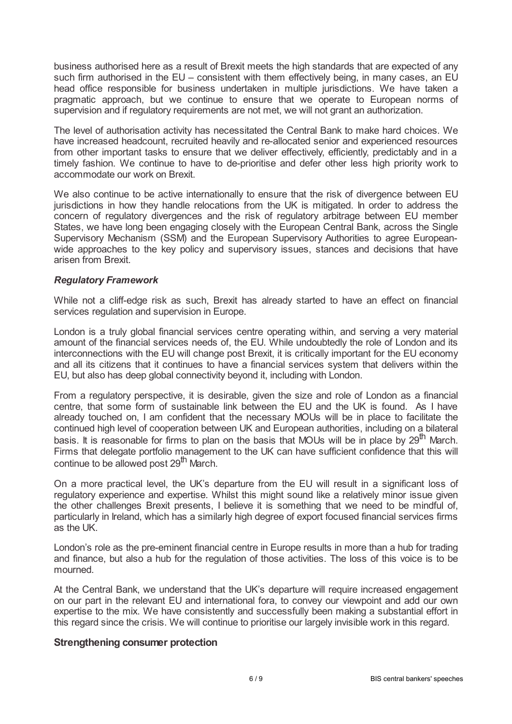business authorised here as a result of Brexit meets the high standards that are expected of any such firm authorised in the EU – consistent with them effectively being, in many cases, an EU head office responsible for business undertaken in multiple jurisdictions. We have taken a pragmatic approach, but we continue to ensure that we operate to European norms of supervision and if regulatory requirements are not met, we will not grant an authorization.

The level of authorisation activity has necessitated the Central Bank to make hard choices. We have increased headcount, recruited heavily and re-allocated senior and experienced resources from other important tasks to ensure that we deliver effectively, efficiently, predictably and in a timely fashion. We continue to have to de-prioritise and defer other less high priority work to accommodate our work on Brexit.

We also continue to be active internationally to ensure that the risk of divergence between EU jurisdictions in how they handle relocations from the UK is mitigated. In order to address the concern of regulatory divergences and the risk of regulatory arbitrage between EU member States, we have long been engaging closely with the European Central Bank, across the Single Supervisory Mechanism (SSM) and the European Supervisory Authorities to agree Europeanwide approaches to the key policy and supervisory issues, stances and decisions that have arisen from Brexit.

## *Regulatory Framework*

While not a cliff-edge risk as such, Brexit has already started to have an effect on financial services regulation and supervision in Europe.

London is a truly global financial services centre operating within, and serving a very material amount of the financial services needs of, the EU. While undoubtedly the role of London and its interconnections with the EU will change post Brexit, it is critically important for the EU economy and all its citizens that it continues to have a financial services system that delivers within the EU, but also has deep global connectivity beyond it, including with London.

From a regulatory perspective, it is desirable, given the size and role of London as a financial centre, that some form of sustainable link between the EU and the UK is found. As I have already touched on, I am confident that the necessary MOUs will be in place to facilitate the continued high level of cooperation between UK and European authorities, including on a bilateral basis. It is reasonable for firms to plan on the basis that MOUs will be in place by  $29^{th}$  March. Firms that delegate portfolio management to the UK can have sufficient confidence that this will continue to be allowed post 29<sup>th</sup> March.

On a more practical level, the UK's departure from the EU will result in a significant loss of regulatory experience and expertise. Whilst this might sound like a relatively minor issue given the other challenges Brexit presents, I believe it is something that we need to be mindful of, particularly in Ireland, which has a similarly high degree of export focused financial services firms as the UK.

London's role as the pre-eminent financial centre in Europe results in more than a hub for trading and finance, but also a hub for the regulation of those activities. The loss of this voice is to be mourned.

At the Central Bank, we understand that the UK's departure will require increased engagement on our part in the relevant EU and international fora, to convey our viewpoint and add our own expertise to the mix. We have consistently and successfully been making a substantial effort in this regard since the crisis. We will continue to prioritise our largely invisible work in this regard.

## **Strengthening consumer protection**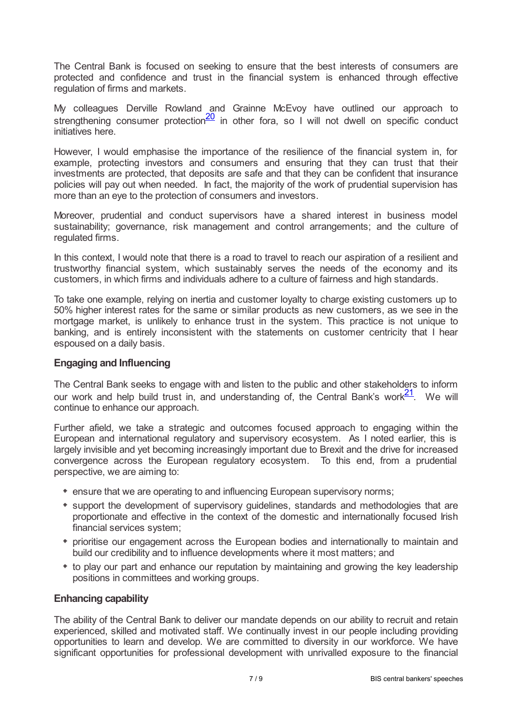The Central Bank is focused on seeking to ensure that the best interests of consumers are protected and confidence and trust in the financial system is enhanced through effective regulation of firms and markets.

<span id="page-6-0"></span>My colleagues Derville Rowland and Grainne McEvoy have outlined our approach to strengthening consumer protection $\frac{20}{1}$  $\frac{20}{1}$  $\frac{20}{1}$  in other fora, so I will not dwell on specific conduct initiatives here.

However, I would emphasise the importance of the resilience of the financial system in, for example, protecting investors and consumers and ensuring that they can trust that their investments are protected, that deposits are safe and that they can be confident that insurance policies will pay out when needed. In fact, the majority of the work of prudential supervision has more than an eye to the protection of consumers and investors.

Moreover, prudential and conduct supervisors have a shared interest in business model sustainability; governance, risk management and control arrangements; and the culture of regulated firms.

In this context, I would note that there is a road to travel to reach our aspiration of a resilient and trustworthy financial system, which sustainably serves the needs of the economy and its customers, in which firms and individuals adhere to a culture of fairness and high standards.

To take one example, relying on inertia and customer loyalty to charge existing customers up to 50% higher interest rates for the same or similar products as new customers, as we see in the mortgage market, is unlikely to enhance trust in the system. This practice is not unique to banking, and is entirely inconsistent with the statements on customer centricity that I hear espoused on a daily basis.

## **Engaging and Influencing**

<span id="page-6-1"></span>The Central Bank seeks to engage with and listen to the public and other stakeholders to inform our work and help build trust in, and understanding of, the Central Bank's work $\frac{21}{\cdot}$  $\frac{21}{\cdot}$  $\frac{21}{\cdot}$ . We will continue to enhance our approach.

Further afield, we take a strategic and outcomes focused approach to engaging within the European and international regulatory and supervisory ecosystem. As I noted earlier, this is largely invisible and yet becoming increasingly important due to Brexit and the drive for increased convergence across the European regulatory ecosystem. To this end, from a prudential perspective, we are aiming to:

- ensure that we are operating to and influencing European supervisory norms;
- support the development of supervisory guidelines, standards and methodologies that are proportionate and effective in the context of the domestic and internationally focused Irish financial services system;
- prioritise our engagement across the European bodies and internationally to maintain and build our credibility and to influence developments where it most matters; and
- to play our part and enhance our reputation by maintaining and growing the key leadership positions in committees and working groups.

## **Enhancing capability**

The ability of the Central Bank to deliver our mandate depends on our ability to recruit and retain experienced, skilled and motivated staff. We continually invest in our people including providing opportunities to learn and develop. We are committed to diversity in our workforce. We have significant opportunities for professional development with unrivalled exposure to the financial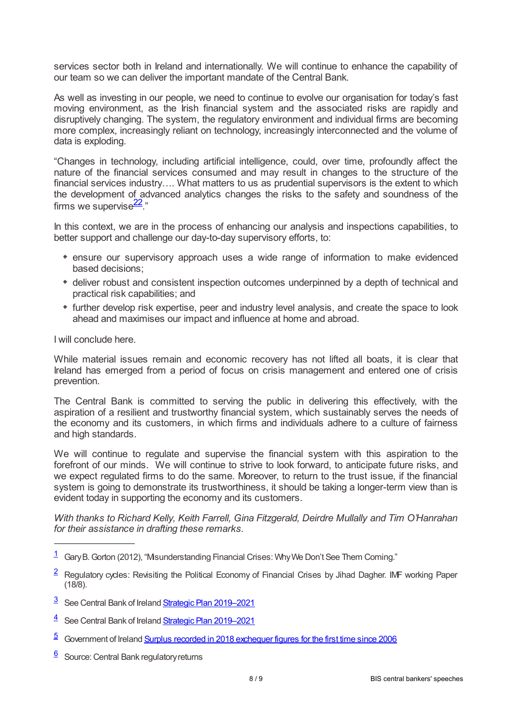services sector both in Ireland and internationally. We will continue to enhance the capability of our team so we can deliver the important mandate of the Central Bank.

As well as investing in our people, we need to continue to evolve our organisation for today's fast moving environment, as the Irish financial system and the associated risks are rapidly and disruptively changing. The system, the regulatory environment and individual firms are becoming more complex, increasingly reliant on technology, increasingly interconnected and the volume of data is exploding.

"Changes in technology, including artificial intelligence, could, over time, profoundly affect the nature of the financial services consumed and may result in changes to the structure of the financial services industry…. What matters to us as prudential supervisors is the extent to which the development of advanced analytics changes the risks to the safety and soundness of the firms we supervise $\frac{22}{3}$  $\frac{22}{3}$  $\frac{22}{3}$ ."

<span id="page-7-6"></span>In this context, we are in the process of enhancing our analysis and inspections capabilities, to better support and challenge our day-to-day supervisory efforts, to:

- ensure our supervisory approach uses a wide range of information to make evidenced based decisions;
- deliver robust and consistent inspection outcomes underpinned by a depth of technical and practical risk capabilities; and
- further develop risk expertise, peer and industry level analysis, and create the space to look ahead and maximises our impact and influence at home and abroad.

I will conclude here.

While material issues remain and economic recovery has not lifted all boats, it is clear that Ireland has emerged from a period of focus on crisis management and entered one of crisis prevention.

The Central Bank is committed to serving the public in delivering this effectively, with the aspiration of a resilient and trustworthy financial system, which sustainably serves the needs of the economy and its customers, in which firms and individuals adhere to a culture of fairness and high standards.

We will continue to regulate and supervise the financial system with this aspiration to the forefront of our minds. We will continue to strive to look forward, to anticipate future risks, and we expect regulated firms to do the same. Moreover, to return to the trust issue, if the financial system is going to demonstrate its trustworthiness, it should be taking a longer-term view than is evident today in supporting the economy and its customers.

*With thanks to Richard Kelly, Keith Farrell, Gina Fitzgerald, Deirdre Mullally and Tim O'Hanrahan for their assistance in drafting these remarks.*

- <span id="page-7-2"></span><sup>3</sup> See Central Bank of Ireland Strategic Plan [2019–2021](www.centralbank.ie/publication/corporate-reports/strategic-plan)
- <span id="page-7-3"></span><sup>4</sup> See Central Bank of Ireland Strategic Plan [2019–2021](www.centralbank.ie/news/article/central-bank-sets-out-strategic-priorities)
- <span id="page-7-4"></span>5 Government of Ireland Surplus recorded in 2018 [exchequer](www.gov.ie/en/news/19b5f7-surplus-recorded-in-2018-exchequer-figures-for-first-time-since-2006/) figures for the first time since 2006
- <span id="page-7-5"></span>[6](#page-1-1) Source: Central Bank regulatory returns

<span id="page-7-0"></span> $\frac{1}{1}$  $\frac{1}{1}$  $\frac{1}{1}$  Gary B. Gorton (2012), "Misunderstanding Financial Crises: Why We Don't See Them Coming."

<span id="page-7-1"></span> $\frac{2}{5}$  $\frac{2}{5}$  $\frac{2}{5}$  Regulatory cycles: Revisiting the Political Economy of Financial Crises by Jihad Dagher. IMF working Paper (18/8).